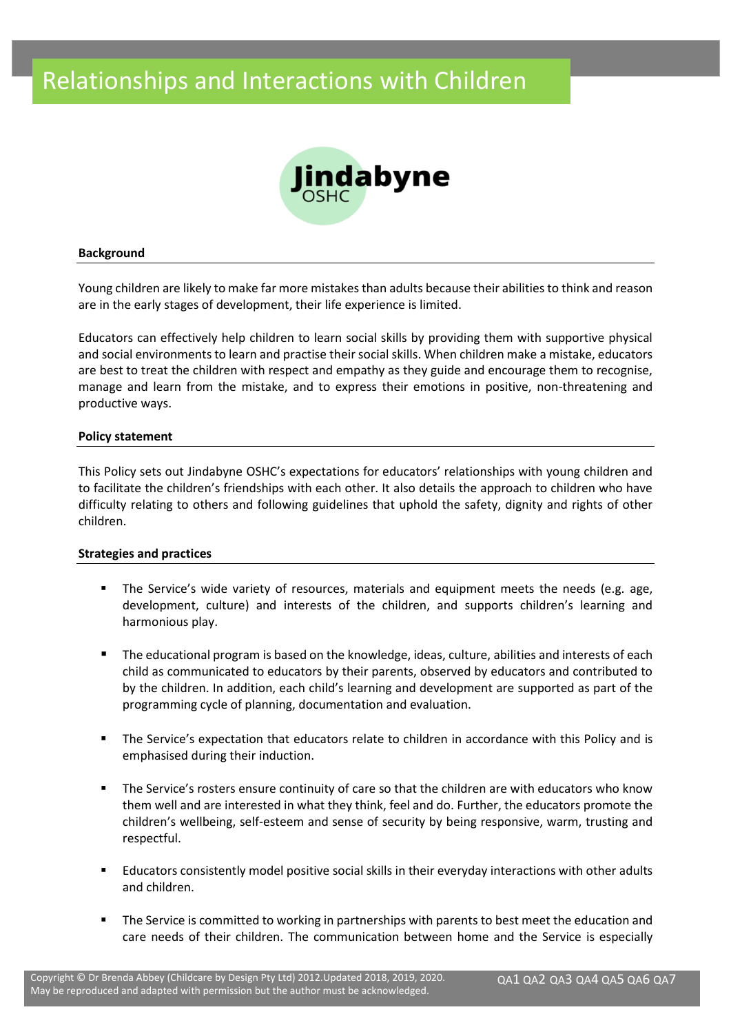

#### **Background**

Young children are likely to make far more mistakes than adults because their abilities to think and reason are in the early stages of development, their life experience is limited.

Educators can effectively help children to learn social skills by providing them with supportive physical and social environments to learn and practise their social skills. When children make a mistake, educators are best to treat the children with respect and empathy as they guide and encourage them to recognise, manage and learn from the mistake, and to express their emotions in positive, non-threatening and productive ways.

#### **Policy statement**

This Policy sets out Jindabyne OSHC's expectations for educators' relationships with young children and to facilitate the children's friendships with each other. It also details the approach to children who have difficulty relating to others and following guidelines that uphold the safety, dignity and rights of other children.

#### **Strategies and practices**

- **The Service's wide variety of resources, materials and equipment meets the needs (e.g. age,** development, culture) and interests of the children, and supports children's learning and harmonious play.
- The educational program is based on the knowledge, ideas, culture, abilities and interests of each child as communicated to educators by their parents, observed by educators and contributed to by the children. In addition, each child's learning and development are supported as part of the programming cycle of planning, documentation and evaluation.
- The Service's expectation that educators relate to children in accordance with this Policy and is emphasised during their induction.
- The Service's rosters ensure continuity of care so that the children are with educators who know them well and are interested in what they think, feel and do. Further, the educators promote the children's wellbeing, self-esteem and sense of security by being responsive, warm, trusting and respectful.
- Educators consistently model positive social skills in their everyday interactions with other adults and children.
- The Service is committed to working in partnerships with parents to best meet the education and care needs of their children. The communication between home and the Service is especially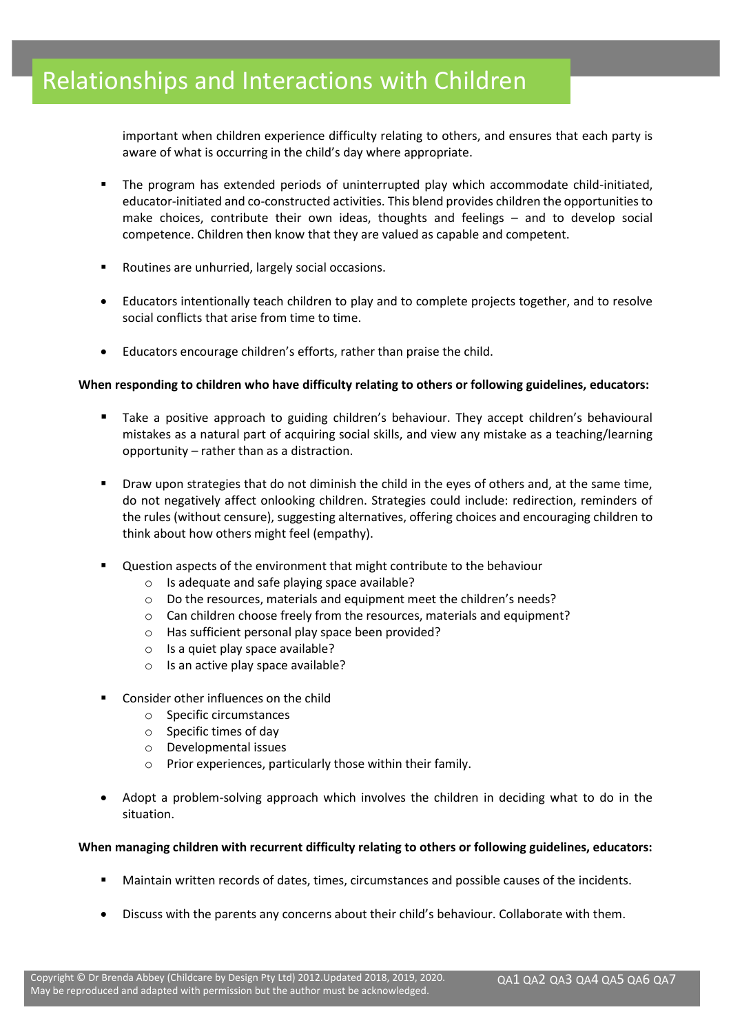important when children experience difficulty relating to others, and ensures that each party is aware of what is occurring in the child's day where appropriate.

- The program has extended periods of uninterrupted play which accommodate child-initiated, educator-initiated and co-constructed activities. This blend provides children the opportunities to make choices, contribute their own ideas, thoughts and feelings – and to develop social competence. Children then know that they are valued as capable and competent.
- Routines are unhurried, largely social occasions.
- Educators intentionally teach children to play and to complete projects together, and to resolve social conflicts that arise from time to time.
- Educators encourage children's efforts, rather than praise the child.

## **When responding to children who have difficulty relating to others or following guidelines, educators:**

- Take a positive approach to guiding children's behaviour. They accept children's behavioural mistakes as a natural part of acquiring social skills, and view any mistake as a teaching/learning opportunity – rather than as a distraction.
- Draw upon strategies that do not diminish the child in the eyes of others and, at the same time, do not negatively affect onlooking children. Strategies could include: redirection, reminders of the rules (without censure), suggesting alternatives, offering choices and encouraging children to think about how others might feel (empathy).
- Question aspects of the environment that might contribute to the behaviour
	- o Is adequate and safe playing space available?
	- o Do the resources, materials and equipment meet the children's needs?
	- o Can children choose freely from the resources, materials and equipment?
	- o Has sufficient personal play space been provided?
	- o Is a quiet play space available?
	- $\circ$  Is an active play space available?
- Consider other influences on the child
	- o Specific circumstances
	- o Specific times of day
	- o Developmental issues
	- o Prior experiences, particularly those within their family.
- Adopt a problem-solving approach which involves the children in deciding what to do in the situation.

## **When managing children with recurrent difficulty relating to others or following guidelines, educators:**

- Maintain written records of dates, times, circumstances and possible causes of the incidents.
- Discuss with the parents any concerns about their child's behaviour. Collaborate with them.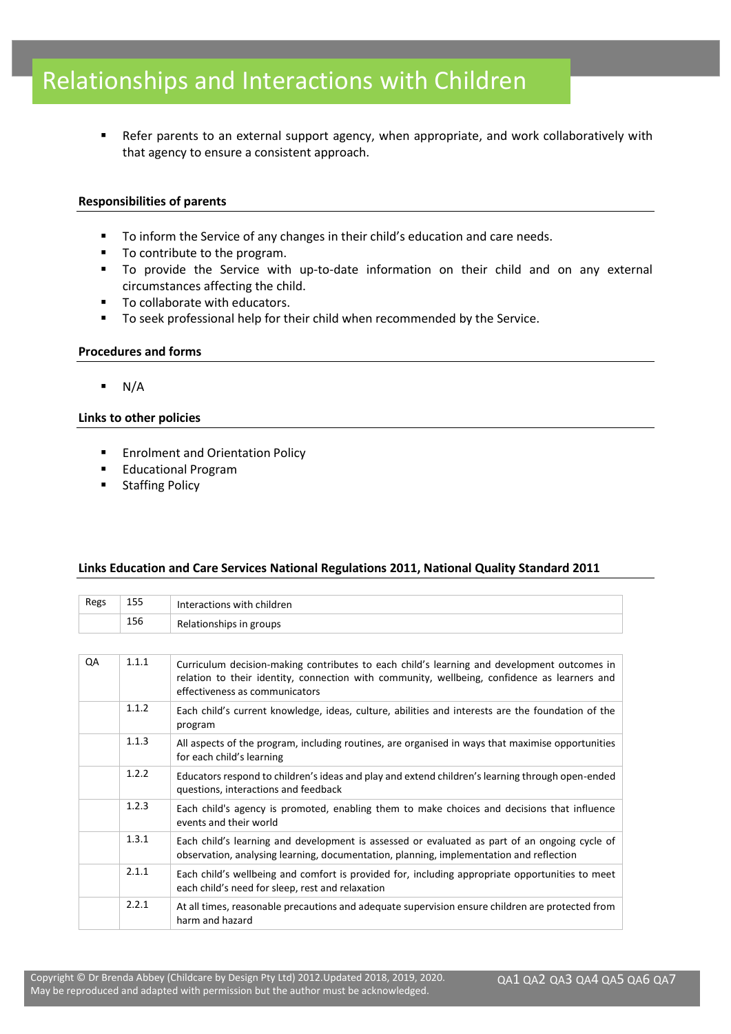■ Refer parents to an external support agency, when appropriate, and work collaboratively with that agency to ensure a consistent approach.

#### **Responsibilities of parents**

- To inform the Service of any changes in their child's education and care needs.
- To contribute to the program.
- To provide the Service with up-to-date information on their child and on any external circumstances affecting the child.
- To collaborate with educators.
- To seek professional help for their child when recommended by the Service.

#### **Procedures and forms**

 $\blacksquare$  N/A

#### **Links to other policies**

- Enrolment and Orientation Policy
- Educational Program
- Staffing Policy

## **Links Education and Care Services National Regulations 2011, National Quality Standard 2011**

| Regs | 155   | Interactions with children                                                                                                                                                                                                    |  |
|------|-------|-------------------------------------------------------------------------------------------------------------------------------------------------------------------------------------------------------------------------------|--|
|      | 156   | Relationships in groups                                                                                                                                                                                                       |  |
|      |       |                                                                                                                                                                                                                               |  |
| QA   | 1.1.1 | Curriculum decision-making contributes to each child's learning and development outcomes in<br>relation to their identity, connection with community, wellbeing, confidence as learners and<br>effectiveness as communicators |  |
|      | 1.1.2 | Each child's current knowledge, ideas, culture, abilities and interests are the foundation of the<br>program                                                                                                                  |  |
|      | 1.1.3 | All aspects of the program, including routines, are organised in ways that maximise opportunities<br>for each child's learning                                                                                                |  |
|      | 1.2.2 | Educators respond to children's ideas and play and extend children's learning through open-ended<br>questions, interactions and feedback                                                                                      |  |
|      | 1.2.3 | Each child's agency is promoted, enabling them to make choices and decisions that influence<br>events and their world                                                                                                         |  |
|      | 1.3.1 | Each child's learning and development is assessed or evaluated as part of an ongoing cycle of<br>observation, analysing learning, documentation, planning, implementation and reflection                                      |  |
|      | 2.1.1 | Each child's wellbeing and comfort is provided for, including appropriate opportunities to meet<br>each child's need for sleep, rest and relaxation                                                                           |  |
|      | 2.2.1 | At all times, reasonable precautions and adequate supervision ensure children are protected from<br>harm and hazard                                                                                                           |  |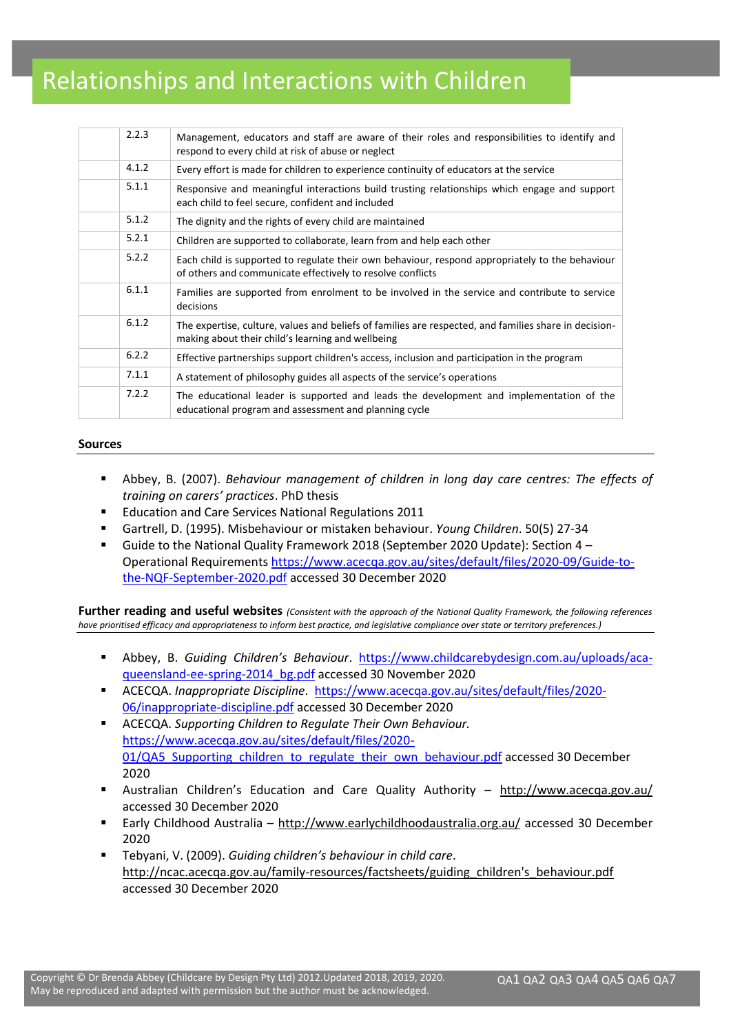| 2.2.3 | Management, educators and staff are aware of their roles and responsibilities to identify and<br>respond to every child at risk of abuse or neglect           |
|-------|---------------------------------------------------------------------------------------------------------------------------------------------------------------|
| 4.1.2 | Every effort is made for children to experience continuity of educators at the service                                                                        |
| 5.1.1 | Responsive and meaningful interactions build trusting relationships which engage and support<br>each child to feel secure, confident and included             |
| 5.1.2 | The dignity and the rights of every child are maintained                                                                                                      |
| 5.2.1 | Children are supported to collaborate, learn from and help each other                                                                                         |
| 5.2.2 | Each child is supported to regulate their own behaviour, respond appropriately to the behaviour<br>of others and communicate effectively to resolve conflicts |
| 6.1.1 | Families are supported from enrolment to be involved in the service and contribute to service<br>decisions                                                    |
| 6.1.2 | The expertise, culture, values and beliefs of families are respected, and families share in decision-<br>making about their child's learning and wellbeing    |
| 6.2.2 | Effective partnerships support children's access, inclusion and participation in the program                                                                  |
| 7.1.1 | A statement of philosophy guides all aspects of the service's operations                                                                                      |
| 7.2.2 | The educational leader is supported and leads the development and implementation of the<br>educational program and assessment and planning cycle              |

#### **Sources**

- Abbey, B. (2007). *Behaviour management of children in long day care centres: The effects of training on carers' practices*. PhD thesis
- Education and Care Services National Regulations 2011
- Gartrell, D. (1995). Misbehaviour or mistaken behaviour. *Young Children*. 50(5) 27-34
- Guide to the National Quality Framework 2018 (September 2020 Update): Section 4 Operational Requirements [https://www.acecqa.gov.au/sites/default/files/2020-09/Guide-to](https://www.acecqa.gov.au/sites/default/files/2020-09/Guide-to-the-NQF-September-2020.pdf)[the-NQF-September-2020.pdf](https://www.acecqa.gov.au/sites/default/files/2020-09/Guide-to-the-NQF-September-2020.pdf) accessed 30 December 2020

**Further reading and useful websites** *(Consistent with the approach of the National Quality Framework, the following references have prioritised efficacy and appropriateness to inform best practice, and legislative compliance over state or territory preferences.)*

- Abbey, B. *Guiding Children's Behaviour*. [https://www.childcarebydesign.com.au/uploads/aca](https://www.childcarebydesign.com.au/uploads/aca-queensland-ee-spring-2014_bg.pdf)[queensland-ee-spring-2014\\_bg.pdf](https://www.childcarebydesign.com.au/uploads/aca-queensland-ee-spring-2014_bg.pdf) accessed 30 November 2020
- ACECQA. *Inappropriate Discipline*. [https://www.acecqa.gov.au/sites/default/files/2020-](https://www.acecqa.gov.au/sites/default/files/2020-06/inappropriate-discipline.pdf) [06/inappropriate-discipline.pdf](https://www.acecqa.gov.au/sites/default/files/2020-06/inappropriate-discipline.pdf) accessed 30 December 2020
- ACECQA. *Supporting Children to Regulate Their Own Behaviour.*  [https://www.acecqa.gov.au/sites/default/files/2020-](https://www.acecqa.gov.au/sites/default/files/2020-01/QA5_Supporting_children_to_regulate_their_own_behaviour.pdf) 01/QA5 Supporting children\_to\_regulate\_their\_own\_behaviour.pdf accessed 30 December 2020
- Australian Children's Education and Care Quality Authority http://www.acecqa.gov.au/ accessed 30 December 2020
- Early Childhood Australia <http://www.earlychildhoodaustralia.org.au/> accessed 30 December 2020
- Tebyani, V. (2009). *Guiding children's behaviour in child care*. [http://ncac.acecqa.gov.au/family-resources/factsheets/guiding\\_children's\\_behaviour.pdf](http://ncac.acecqa.gov.au/family-resources/factsheets/guiding_children) accessed 30 December 2020